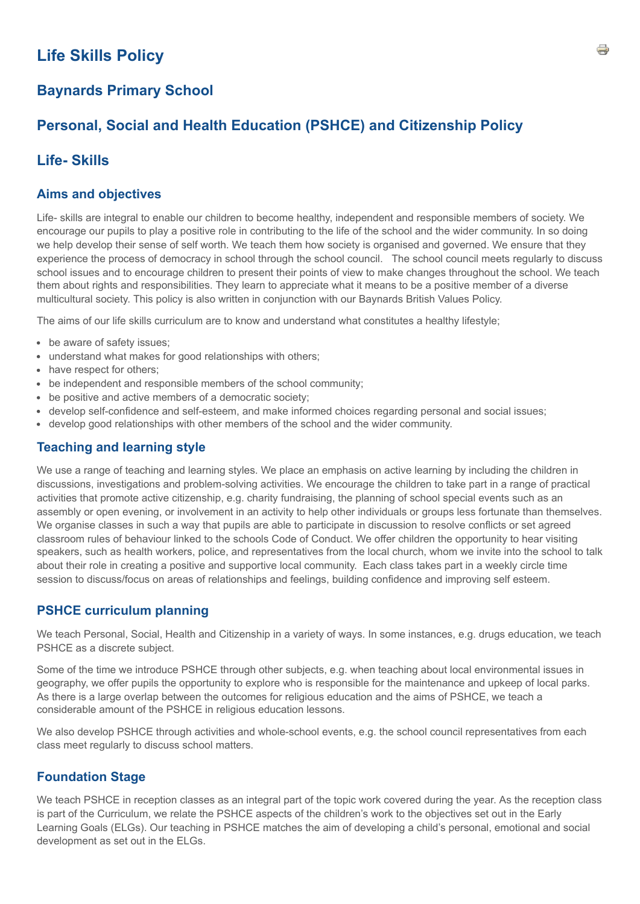# **Life Skills Policy**

## **Baynards Primary School**

## **Personal, Social and Health Education (PSHCE) and Citizenship Policy**

### **Life- Skills**

#### **Aims and objectives**

Life- skills are integral to enable our children to become healthy, independent and responsible members of society. We encourage our pupils to play a positive role in contributing to the life of the school and the wider community. In so doing we help develop their sense of self worth. We teach them how society is organised and governed. We ensure that they experience the process of democracy in school through the school council. The school council meets regularly to discuss school issues and to encourage children to present their points of view to make changes throughout the school. We teach them about rights and responsibilities. They learn to appreciate what it means to be a positive member of a diverse multicultural society. This policy is also written in conjunction with our Baynards British Values Policy.

The aims of our life skills curriculum are to know and understand what constitutes a healthy lifestyle;

- be aware of safety issues;
- understand what makes for good relationships with others;
- have respect for others;
- be independent and responsible members of the school community;
- be positive and active members of a democratic society;
- develop self-confidence and self-esteem, and make informed choices regarding personal and social issues;
- develop good relationships with other members of the school and the wider community.

### **Teaching and learning style**

We use a range of teaching and learning styles. We place an emphasis on active learning by including the children in discussions, investigations and problem-solving activities. We encourage the children to take part in a range of practical activities that promote active citizenship, e.g. charity fundraising, the planning of school special events such as an assembly or open evening, or involvement in an activity to help other individuals or groups less fortunate than themselves. We organise classes in such a way that pupils are able to participate in discussion to resolve conflicts or set agreed classroom rules of behaviour linked to the schools Code of Conduct. We offer children the opportunity to hear visiting speakers, such as health workers, police, and representatives from the local church, whom we invite into the school to talk about their role in creating a positive and supportive local community. Each class takes part in a weekly circle time session to discuss/focus on areas of relationships and feelings, building confidence and improving self esteem.

### **PSHCE curriculum planning**

We teach Personal, Social, Health and Citizenship in a variety of ways. In some instances, e.g. drugs education, we teach PSHCE as a discrete subject.

Some of the time we introduce PSHCE through other subjects, e.g. when teaching about local environmental issues in geography, we offer pupils the opportunity to explore who is responsible for the maintenance and upkeep of local parks. As there is a large overlap between the outcomes for religious education and the aims of PSHCE, we teach a considerable amount of the PSHCE in religious education lessons.

We also develop PSHCE through activities and whole-school events, e.g. the school council representatives from each class meet regularly to discuss school matters.

### **Foundation Stage**

We teach PSHCE in reception classes as an integral part of the topic work covered during the year. As the reception class is part of the Curriculum, we relate the PSHCE aspects of the children's work to the objectives set out in the Early Learning Goals (ELGs). Our teaching in PSHCE matches the aim of developing a child's personal, emotional and social development as set out in the ELGs.